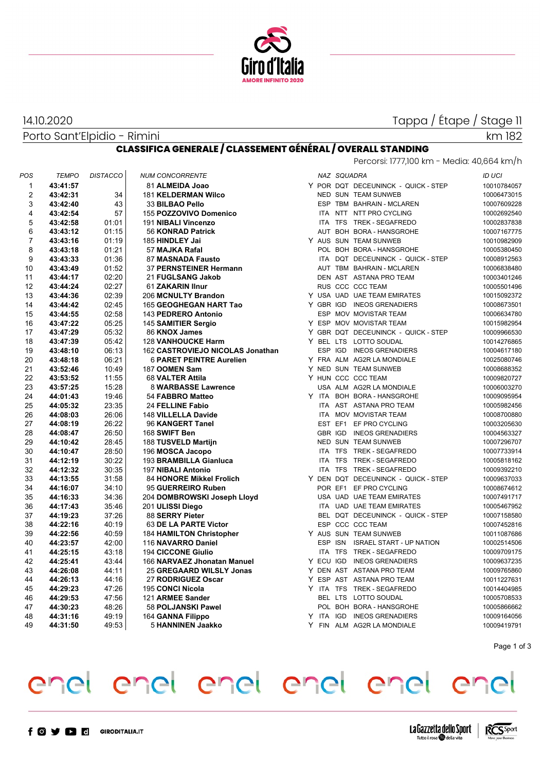

# Tappa / Étape / Stage 11

Porto Sant'Elpidio - Rimini 14.10.2020

km 182

### **CLASSIFICA GENERALE / CLASSEMENT GÉNÉRAL / OVERALL STANDING** Percorsi: 1777,100 km - Media: 40,664 km/h

| POS            | <b>TEMPO</b> | <b>DISTACCO</b> | <b>NUM CONCORRENTE</b>           |  | NAZ SQUADRA |                                     | <b>ID UCI</b> |
|----------------|--------------|-----------------|----------------------------------|--|-------------|-------------------------------------|---------------|
| 1              | 43:41:57     |                 | 81 ALMEIDA Joao                  |  |             | Y POR DQT DECEUNINCK - QUICK - STEP | 10010784057   |
| $\overline{2}$ | 43:42:31     | 34              | <b>181 KELDERMAN Wilco</b>       |  |             | NED SUN TEAM SUNWEB                 | 10006473015   |
| 3              | 43:42:40     | 43              | 33 BILBAO Pello                  |  |             | ESP TBM BAHRAIN - MCLAREN           | 10007609228   |
| $\overline{4}$ | 43:42:54     | 57              | 155 POZZOVIVO Domenico           |  |             | ITA NTT NTT PRO CYCLING             | 10002692540   |
| 5              | 43:42:58     | 01:01           | 191 NIBALI Vincenzo              |  |             | ITA TFS TREK - SEGAFREDO            | 10002837838   |
| 6              | 43:43:12     | 01:15           | <b>56 KONRAD Patrick</b>         |  |             | AUT BOH BORA - HANSGROHE            | 10007167775   |
| 7              | 43:43:16     | 01:19           | 185 HINDLEY Jai                  |  |             | Y AUS SUN TEAM SUNWEB               | 10010982909   |
| 8              | 43:43:18     | 01:21           | 57 MAJKA Rafal                   |  |             | POL BOH BORA - HANSGROHE            | 10005380450   |
| 9              | 43:43:33     | 01:36           | 87 MASNADA Fausto                |  |             | ITA DQT DECEUNINCK - QUICK - STEP   | 10008912563   |
| 10             | 43:43:49     | 01:52           | 37 PERNSTEINER Hermann           |  |             | AUT TBM BAHRAIN - MCLAREN           | 10006838480   |
| 11             | 43:44:17     | 02:20           | 21 FUGLSANG Jakob                |  |             | DEN AST ASTANA PRO TEAM             | 10003401246   |
| 12             | 43:44:24     | 02:27           | 61 ZAKARIN IInur                 |  |             | RUS CCC CCC TEAM                    | 10005501496   |
| 13             | 43:44:36     | 02:39           | 206 MCNULTY Brandon              |  |             | Y USA UAD UAE TEAM EMIRATES         | 10015092372   |
| 14             | 43:44:42     | 02:45           | 165 GEOGHEGAN HART Tao           |  |             | Y GBR IGD INEOS GRENADIERS          | 10008673501   |
| 15             | 43:44:55     | 02:58           | 143 PEDRERO Antonio              |  |             | ESP MOV MOVISTAR TEAM               | 10006634780   |
| 16             | 43:47:22     | 05:25           | 145 SAMITIER Sergio              |  |             | Y ESP MOV MOVISTAR TEAM             | 10015982954   |
| 17             | 43:47:29     | 05:32           | 86 KNOX James                    |  |             | Y GBR DQT DECEUNINCK - QUICK - STEP | 10009966530   |
| 18             | 43:47:39     | 05:42           | <b>128 VANHOUCKE Harm</b>        |  |             | Y BEL LTS LOTTO SOUDAL              | 10014276865   |
| 19             | 43:48:10     | 06:13           | 162 CASTROVIEJO NICOLAS Jonathan |  |             | ESP IGD INEOS GRENADIERS            | 10004617180   |
| 20             | 43:48:18     | 06:21           | <b>6 PARET PEINTRE Aurelien</b>  |  |             | Y FRA ALM AG2R LA MONDIALE          | 10025080746   |
| 21             | 43:52:46     | 10:49           | 187 OOMEN Sam                    |  |             | Y NED SUN TEAM SUNWEB               | 10008688352   |
| 22             | 43:53:52     | 11:55           | 68 VALTER Attila                 |  |             | Y HUN CCC CCC TEAM                  | 10009820727   |
| 23             | 43:57:25     | 15:28           | 8 WARBASSE Lawrence              |  |             | USA ALM AG2R LA MONDIALE            | 10006003270   |
| 24             | 44:01:43     | 19:46           | 54 FABBRO Matteo                 |  |             | Y ITA BOH BORA - HANSGROHE          | 10009095954   |
| 25             | 44:05:32     | 23:35           | 24 FELLINE Fabio                 |  |             | ITA AST ASTANA PRO TEAM             | 10005982456   |
| 26             | 44:08:03     | 26:06           | 148 VILLELLA Davide              |  |             | ITA MOV MOVISTAR TEAM               | 10008700880   |
| 27             | 44:08:19     | 26:22           | 96 KANGERT Tanel                 |  |             | EST EF1 EF PRO CYCLING              | 10003205630   |
| 28             | 44:08:47     | 26:50           | 168 SWIFT Ben                    |  |             | GBR IGD INEOS GRENADIERS            | 10004563327   |
| 29             | 44:10:42     | 28:45           | 188 TUSVELD Martijn              |  |             | NED SUN TEAM SUNWEB                 | 10007296707   |
| 30             | 44:10:47     | 28:50           | 196 MOSCA Jacopo                 |  |             | ITA TFS TREK - SEGAFREDO            | 10007733914   |
| 31             | 44:12:19     | 30:22           | 193 BRAMBILLA Gianluca           |  |             | ITA TFS TREK - SEGAFREDO            | 10005818162   |
| 32             | 44:12:32     | 30:35           | 197 NIBALI Antonio               |  |             | ITA TFS TREK - SEGAFREDO            | 10009392210   |
| 33             | 44:13:55     | 31:58           | 84 HONORE Mikkel Frolich         |  |             | Y DEN DQT DECEUNINCK - QUICK - STEP | 10009637033   |
| 34             | 44:16:07     | 34:10           | 95 GUERREIRO Ruben               |  |             | POR EF1 EF PRO CYCLING              | 10008674612   |
| 35             | 44:16:33     | 34:36           | 204 DOMBROWSKI Joseph Lloyd      |  |             | USA UAD UAE TEAM EMIRATES           | 10007491717   |
| 36             | 44:17:43     | 35:46           | 201 ULISSI Diego                 |  |             | ITA UAD UAE TEAM EMIRATES           | 10005467952   |
| 37             | 44:19:23     | 37:26           | 88 SERRY Pieter                  |  |             | BEL DQT DECEUNINCK - QUICK - STEP   | 10007158580   |
| 38             | 44:22:16     | 40:19           | 63 DE LA PARTE Victor            |  |             | ESP CCC CCC TEAM                    | 10007452816   |
| 39             | 44:22:56     | 40:59           | <b>184 HAMILTON Christopher</b>  |  |             | Y AUS SUN TEAM SUNWEB               | 10011087686   |
| 40             | 44:23:57     | 42:00           | 116 NAVARRO Daniel               |  |             | ESP ISN ISRAEL START - UP NATION    | 10002514506   |
| 41             | 44:25:15     | 43:18           | <b>194 CICCONE Giulio</b>        |  |             | ITA TFS TREK - SEGAFREDO            | 10009709175   |
| 42             | 44:25:41     | 43:44           | 166 NARVAEZ Jhonatan Manuel      |  |             | Y ECU IGD INEOS GRENADIERS          | 10009637235   |
| 43             | 44:26:08     | 44:11           | 25 GREGAARD WILSLY Jonas         |  |             | Y DEN AST ASTANA PRO TEAM           | 10009765860   |
| 44             | 44:26:13     | 44:16           | 27 RODRIGUEZ Oscar               |  |             | Y ESP AST ASTANA PRO TEAM           | 10011227631   |
| 45             | 44:29:23     | 47:26           | 195 CONCI Nicola                 |  |             | Y ITA TFS TREK-SEGAFREDO            | 10014404985   |
| 46             | 44:29:53     | 47:56           | 121 ARMEE Sander                 |  |             | BEL LTS LOTTO SOUDAL                | 10005708533   |
| 47             | 44:30:23     | 48:26           | 58 POLJANSKI Pawel               |  |             | POL BOH BORA - HANSGROHE            | 10005866662   |
| 48             | 44:31:16     | 49:19           | 164 GANNA Filippo                |  |             | Y ITA IGD INEOS GRENADIERS          | 10009164056   |
| 49             | 44:31:50     | 49:53           |                                  |  |             | Y FIN ALM AG2R LA MONDIALE          | 10009419791   |
|                |              |                 | 5 HANNINEN Jaakko                |  |             |                                     |               |

Page 1 of 3

# enel enel enel enel enel enel



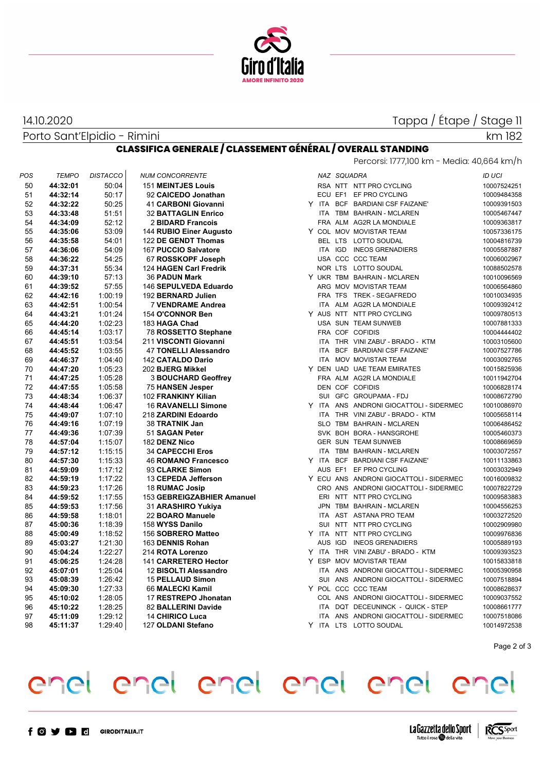

## 14.10.2020

Tappa / Étape / Stage 11

|     | Porto Sant'Elpidio - Rimini |                 |                                                                    |            |             |                                            | km 182        |
|-----|-----------------------------|-----------------|--------------------------------------------------------------------|------------|-------------|--------------------------------------------|---------------|
|     |                             |                 | <b>CLASSIFICA GENERALE / CLASSEMENT GÉNÉRAL / OVERALL STANDING</b> |            |             |                                            |               |
|     |                             |                 |                                                                    |            |             | Percorsi: 1777,100 km - Media: 40,664 km/h |               |
| POS | <b>TEMPO</b>                | <b>DISTACCO</b> | <b>NUM CONCORRENTE</b>                                             |            | NAZ SQUADRA |                                            | <b>ID UCI</b> |
| 50  | 44:32:01                    | 50:04           | <b>151 MEINTJES Louis</b>                                          |            |             | RSA NTT NTT PRO CYCLING                    | 10007524251   |
| 51  | 44:32:14                    | 50:17           | 92 CAICEDO Jonathan                                                |            | ECU EF1     | EF PRO CYCLING                             | 10009484358   |
| 52  | 44:32:22                    | 50:25           | 41 CARBONI Giovanni                                                |            |             | Y ITA BCF BARDIANI CSF FAIZANE'            | 10009391503   |
| 53  | 44:33:48                    | 51:51           | <b>32 BATTAGLIN Enrico</b>                                         |            |             | ITA TBM BAHRAIN - MCLAREN                  | 10005467447   |
| 54  | 44:34:09                    | 52:12           | 2 BIDARD Francois                                                  |            |             | FRA ALM AG2R LA MONDIALE                   | 10009363817   |
| 55  | 44:35:06                    | 53:09           | 144 RUBIO Einer Augusto                                            |            |             | Y COL MOV MOVISTAR TEAM                    | 10057336175   |
| 56  | 44:35:58                    | 54:01           | 122 DE GENDT Thomas                                                |            |             | BEL LTS LOTTO SOUDAL                       | 10004816739   |
| 57  | 44:36:06                    | 54:09           | 167 PUCCIO Salvatore                                               |            |             | ITA IGD INEOS GRENADIERS                   | 10005587887   |
| 58  | 44:36:22                    | 54:25           | 67 ROSSKOPF Joseph                                                 |            |             | USA CCC CCC TEAM                           | 10006002967   |
| 59  | 44:37:31                    | 55:34           | 124 HAGEN Carl Fredrik                                             |            |             | NOR LTS LOTTO SOUDAL                       | 10088502578   |
| 60  | 44:39:10                    | 57:13           | 36 PADUN Mark                                                      |            |             | Y UKR TBM BAHRAIN - MCLAREN                | 10010096569   |
| 61  | 44:39:52                    | 57:55           | 146 SEPULVEDA Eduardo                                              |            |             | ARG MOV MOVISTAR TEAM                      | 10006564860   |
| 62  | 44:42:16                    | 1:00:19         | 192 BERNARD Julien                                                 |            |             | FRA TFS TREK - SEGAFREDO                   | 10010034935   |
| 63  | 44:42:51                    | 1:00:54         | 7 VENDRAME Andrea                                                  |            |             | ITA ALM AG2R LA MONDIALE                   | 10009392412   |
| 64  | 44:43:21                    | 1:01:24         | 154 O'CONNOR Ben                                                   |            |             | Y AUS NTT NTT PRO CYCLING                  | 10009780513   |
| 65  | 44:44:20                    | 1:02:23         | 183 HAGA Chad                                                      |            |             | USA SUN TEAM SUNWEB                        | 10007881333   |
| 66  | 44:45:14                    | 1:03:17         | 78 ROSSETTO Stephane                                               |            |             | FRA COF COFIDIS                            | 10004444402   |
| 67  | 44:45:51                    | 1:03:54         | 211 VISCONTI Giovanni                                              |            |             | ITA THR VINI ZABU' - BRADO - KTM           | 10003105600   |
| 68  | 44:45:52                    | 1:03:55         | 47 TONELLI Alessandro                                              |            |             | ITA BCF BARDIANI CSF FAIZANE'              | 10007527786   |
| 69  | 44:46:37                    | 1:04:40         | 142 CATALDO Dario                                                  |            |             | ITA MOV MOVISTAR TEAM                      | 10003092765   |
| 70  | 44:47:20                    | 1:05:23         | 202 BJERG Mikkel                                                   |            |             | Y DEN UAD UAE TEAM EMIRATES                | 10015825936   |
| 71  | 44:47:25                    | 1:05:28         | <b>3 BOUCHARD Geoffrey</b>                                         |            |             | FRA ALM AG2R LA MONDIALE                   | 10011942704   |
| 72  | 44:47:55                    | 1:05:58         | 75 HANSEN Jesper                                                   |            |             | DEN COF COFIDIS                            | 10006828174   |
| 73  | 44:48:34                    | 1:06:37         | 102 FRANKINY Kilian                                                |            |             | SUI GFC GROUPAMA - FDJ                     | 10008672790   |
| 74  | 44:48:44                    | 1:06:47         | <b>16 RAVANELLI Simone</b>                                         |            |             | Y ITA ANS ANDRONI GIOCATTOLI - SIDERMEC    | 10010086970   |
| 75  | 44:49:07                    | 1:07:10         | 218 ZARDINI Edoardo                                                |            |             | ITA THR VINI ZABU' - BRADO - KTM           | 10005658114   |
| 76  | 44:49:16                    | 1:07:19         | 38 TRATNIK Jan                                                     |            |             | SLO TBM BAHRAIN - MCLAREN                  | 10006486452   |
| 77  | 44:49:36                    | 1:07:39         | 51 SAGAN Peter                                                     |            |             | SVK BOH BORA - HANSGROHE                   | 10005460373   |
| 78  | 44:57:04                    | 1:15:07         | 182 DENZ Nico                                                      |            |             | <b>GER SUN TEAM SUNWEB</b>                 | 10008669659   |
| 79  | 44:57:12                    | 1:15:15         | <b>34 CAPECCHI Eros</b>                                            |            |             | ITA TBM BAHRAIN - MCLAREN                  | 10003072557   |
| 80  | 44:57:30                    | 1:15:33         | <b>46 ROMANO Francesco</b>                                         |            |             | Y ITA BCF BARDIANI CSF FAIZANE'            | 10011133863   |
| 81  | 44:59:09                    | 1:17:12         | 93 CLARKE Simon                                                    |            |             | AUS EF1 EF PRO CYCLING                     | 10003032949   |
| 82  | 44:59:19                    | 1:17:22         | 13 CEPEDA Jefferson                                                |            |             | Y ECU ANS ANDRONI GIOCATTOLI - SIDERMEC    | 10016009832   |
| 83  | 44:59:23                    | 1:17:26         | 18 RUMAC Josip                                                     |            |             | CRO ANS ANDRONI GIOCATTOLI - SIDERMEC      | 10007822729   |
| 84  | 44:59:52                    | 1:17:55         | 153 GEBREIGZABHIER Amanuel                                         |            |             | ERI NTT NTT PRO CYCLING                    | 10009583883   |
| 85  | 44:59:53                    | 1:17:56         | 31 ARASHIRO Yukiya                                                 |            |             | JPN TBM BAHRAIN - MCLAREN                  | 10004556253   |
| 86  | 44:59:58                    | 1:18:01         | 22 BOARO Manuele                                                   | <b>ITA</b> |             | AST ASTANA PRO TEAM                        | 10003272520   |
| 87  | 45:00:36                    | 1:18:39         | 158 WYSS Danilo                                                    |            |             | SUI NTT NTT PRO CYCLING                    | 10002909980   |
| 88  | 45:00:49                    | 1:18:52         | 156 SOBRERO Matteo                                                 |            |             | Y ITA NTT NTT PRO CYCLING                  | 10009976836   |
| 89  | 45:03:27                    | 1.21.30         | 163 DENNIS Rohan                                                   |            |             | AUS IGD INEOS GRENADIERS                   | 10005889193   |
| 90  | 45:04:24                    | 1:22:27         | 214 ROTA Lorenzo                                                   |            |             | Y ITA THR VINI ZABU' - BRADO - KTM         | 10009393523   |
| 91  | 45:06:25                    | 1:24.28         | 141 CARRETERO Hector                                               |            |             | Y ESP MOV MOVISTAR TEAM                    | 10015833818   |
| 92  | 45:07:01                    | 1.25.04         | 12 BISOLTI Alessandro                                              |            |             | ITA ANS ANDRONI GIOCATTOLI - SIDERMEC      | 10005390958   |
| 93  | 45:08:39                    | 1:26:42         | 15 PELLAUD Simon                                                   |            |             | SUI ANS ANDRONI GIOCATTOLI - SIDERMEC      | 10007518894   |
| 94  | 45:09:30                    | 1:27:33         | 66 MALECKI Kamil                                                   |            |             | Y POL CCC CCC TEAM                         | 10008628637   |
| 95  | 45:10:02                    | 1:28:05         | 17 RESTREPO Jhonatan                                               |            |             | COL ANS ANDRONI GIOCATTOLI - SIDERMEC      | 10009037552   |
| 96  | 45:10:22                    | 1:28:25         | 82 BALLERINI Davide                                                |            |             | ITA DQT DECEUNINCK - QUICK - STEP          | 10008661777   |
| 97  | 45:11:09                    | 1:29.12         | <b>14 CHIRICO Luca</b>                                             |            |             | ITA ANS ANDRONI GIOCATTOLI - SIDERMEC      | 10007518086   |
| 98  | 45:11:37                    | 1:29.40         | 127 OLDANI Stefano                                                 |            |             | Y ITA LTS LOTTO SOUDAL                     | 10014972538   |

Page 2 of 3

### enel enel enel enel  $e<sub>n</sub>$ enel